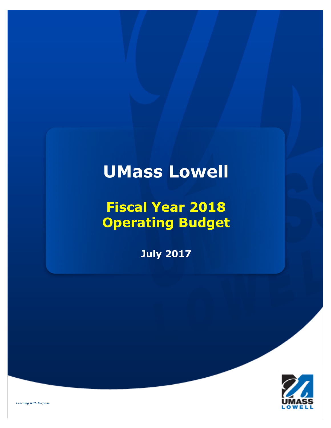# **UMass Lowell**

# **Fiscal Year 2018 Operating Budget**

**July 2017**

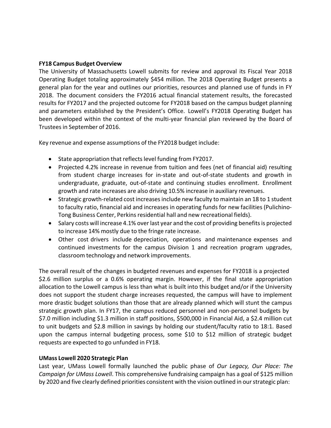## **FY18 Campus Budget Overview**

The University of Massachusetts Lowell submits for review and approval its Fiscal Year 2018 Operating Budget totaling approximately \$454 million. The 2018 Operating Budget presents a general plan for the year and outlines our priorities, resources and planned use of funds in FY 2018. The document considers the FY2016 actual financial statement results, the forecasted results for FY2017 and the projected outcome for FY2018 based on the campus budget planning and parameters established by the President's Office. Lowell's FY2018 Operating Budget has been developed within the context of the multi-year financial plan reviewed by the Board of Trustees in September of 2016.

Key revenue and expense assumptions of the FY2018 budget include:

- State appropriation that reflects level funding from FY2017.
- Projected 4.2% increase in revenue from tuition and fees (net of financial aid) resulting from student charge increases for in-state and out-of-state students and growth in undergraduate, graduate, out‐of‐state and continuing studies enrollment. Enrollment growth and rate increases are also driving 10.5% increase in auxiliary revenues.
- Strategic growth-related cost increases include new faculty to maintain an 18 to 1 student to faculty ratio, financial aid and increases in operating funds for new facilities (Pulichino‐ Tong Business Center, Perkins residential hall and new recreational fields).
- Salary costs will increase 4.1% over last year and the cost of providing benefits is projected to increase 14% mostly due to the fringe rate increase.
- Other cost drivers include depreciation, operations and maintenance expenses and continued investments for the campus Division 1 and recreation program upgrades, classroom technology and network improvements.

The overall result of the changes in budgeted revenues and expenses for FY2018 is a projected \$2.6 million surplus or a 0.6% operating margin. However, if the final state appropriation allocation to the Lowell campus is less than what is built into this budget and/or if the University does not support the student charge increases requested, the campus will have to implement more drastic budget solutions than those that are already planned which will stunt the campus strategic growth plan. In FY17, the campus reduced personnel and non‐personnel budgets by \$7.0 million including \$1.3 million in staff positions, \$500,000 in Financial Aid, a \$2.4 million cut to unit budgets and \$2.8 million in savings by holding our student/faculty ratio to 18:1. Based upon the campus internal budgeting process, some \$10 to \$12 million of strategic budget requests are expected to go unfunded in FY18.

## **UMass Lowell 2020 Strategic Plan**

Last year, UMass Lowell formally launched the public phase of *Our Legacy, Our Place: The Campaign for UMass Lowell*. This comprehensive fundraising campaign has a goal of \$125 million by 2020 and five clearly defined priorities consistent with the vision outlined in our strategic plan: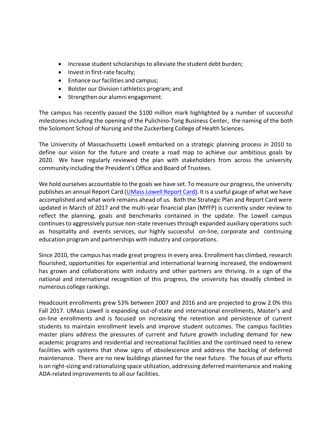- Increase student scholarships to alleviate the student debt burden;
- Invest in first-rate faculty;
- Enhance our facilities and campus;
- Bolster our Division I athletics program; and
- Strengthen our alumni engagement.

The campus has recently passed the \$100 million mark highlighted by a number of successful milestones including the opening of the Pulichino‐Tong Business Center, the naming of the both the Solomont School of Nursing and the Zuckerberg College of Health Sciences.

The University of Massachusetts Lowell embarked on a strategic planning process in 2010 to define our vision for the future and create a road map to achieve our ambitious goals by 2020. We have regularly reviewed the plan with stakeholders from across the university community including the President's Office and Board of Trustees.

We hold ourselves accountable to the goals we have set. To measure our progress, the university publishes an annual Report Card (UMass Lowell Report Card). It is a useful gauge of what we have accomplished and what work remains ahead of us. Both the Strategic Plan and Report Card were updated in March of 2017 and the multi-year financial plan (MYFP) is currently under review to reflect the planning, goals and benchmarks contained in the update. The Lowell campus continues to aggressively pursue non‐state revenuesthrough expanded auxiliary operations such as hospitality and events services, our highly successful on-line, corporate and continuing education program and partnerships with industry and corporations.

Since 2010, the campus has made great progress in every area. Enrollment has climbed, research flourished, opportunities for experiential and international learning increased, the endowment has grown and collaborations with industry and other partners are thriving. In a sign of the national and international recognition of this progress, the university has steadily climbed in numerous college rankings.

Headcount enrollments grew 53% between 2007 and 2016 and are projected to grow 2.0% this Fall 2017. UMass Lowell is expanding out‐of‐state and international enrollments, Master's and on‐line enrollments and is focused on increasing the retention and persistence of current students to maintain enrollment levels and improve student outcomes. The campus facilities master plans address the pressures of current and future growth including demand for new academic programs and residential and recreational facilities and the continued need to renew facilities with systems that show signs of obsolescence and address the backlog of deferred maintenance. There are no new buildings planned for the near future. The focus of our efforts is on right-sizing and rationalizing space utilization, addressing deferred maintenance and making ADA‐related improvements to all our facilities.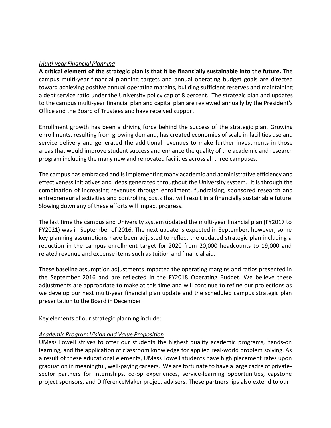## *Multi‐year Financial Planning*

**A critical element of the strategic plan is that it be financially sustainable into the future.** The campus multi‐year financial planning targets and annual operating budget goals are directed toward achieving positive annual operating margins, building sufficient reserves and maintaining a debt service ratio under the University policy cap of 8 percent. The strategic plan and updates to the campus multi‐year financial plan and capital plan are reviewed annually by the President's Office and the Board of Trustees and have received support.

Enrollment growth has been a driving force behind the success of the strategic plan. Growing enrollments, resulting from growing demand, has created economies of scale in facilities use and service delivery and generated the additional revenues to make further investments in those areas that would improve student success and enhance the quality of the academic and research program including the many new and renovated facilities across all three campuses.

The campus has embraced and is implementing many academic and administrative efficiency and effectiveness initiatives and ideas generated throughout the University system. It is through the combination of increasing revenues through enrollment, fundraising, sponsored research and entrepreneurial activities and controlling costs that will result in a financially sustainable future. Slowing down any of these efforts will impact progress.

The last time the campus and University system updated the multi‐year financial plan (FY2017 to FY2021) was in September of 2016. The next update is expected in September, however, some key planning assumptions have been adjusted to reflect the updated strategic plan including a reduction in the campus enrollment target for 2020 from 20,000 headcounts to 19,000 and related revenue and expense items such as tuition and financial aid.

These baseline assumption adjustments impacted the operating margins and ratios presented in the September 2016 and are reflected in the FY2018 Operating Budget. We believe these adjustments are appropriate to make at this time and will continue to refine our projections as we develop our next multi-year financial plan update and the scheduled campus strategic plan presentation to the Board in December.

Key elements of our strategic planning include:

## *Academic Program Vision and Value Proposition*

UMass Lowell strives to offer our students the highest quality academic programs, hands‐on learning, and the application of classroom knowledge for applied real‐world problem solving. As a result of these educational elements, UMass Lowell students have high placement rates upon graduation in meaningful, well‐paying careers. We are fortunate to have a large cadre of private‐ sector partners for internships, co-op experiences, service-learning opportunities, capstone project sponsors, and DifferenceMaker project advisers. These partnerships also extend to our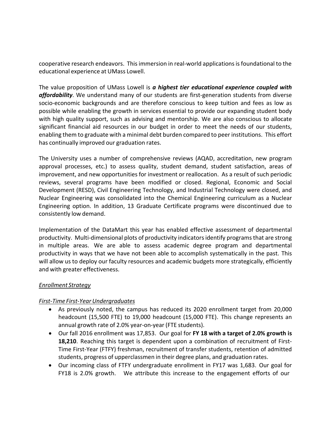cooperative research endeavors. This immersion in real‐world applications is foundational to the educational experience at UMass Lowell.

The value proposition of UMass Lowell is *a highest tier educational experience coupled with affordability*. We understand many of our students are first‐generation students from diverse socio-economic backgrounds and are therefore conscious to keep tuition and fees as low as possible while enabling the growth in services essential to provide our expanding student body with high quality support, such as advising and mentorship. We are also conscious to allocate significant financial aid resources in our budget in order to meet the needs of our students, enabling them to graduate with a minimal debt burden compared to peer institutions. This effort has continually improved our graduation rates.

The University uses a number of comprehensive reviews (AQAD, accreditation, new program approval processes, etc.) to assess quality, student demand, student satisfaction, areas of improvement, and new opportunities for investment or reallocation. As a result of such periodic reviews, several programs have been modified or closed. Regional, Economic and Social Development (RESD), Civil Engineering Technology, and Industrial Technology were closed, and Nuclear Engineering was consolidated into the Chemical Engineering curriculum as a Nuclear Engineering option. In addition, 13 Graduate Certificate programs were discontinued due to consistently low demand.

Implementation of the DataMart this year has enabled effective assessment of departmental productivity. Multi-dimensional plots of productivity indicators identify programs that are strong in multiple areas. We are able to assess academic degree program and departmental productivity in ways that we have not been able to accomplish systematically in the past. This will allow us to deploy our faculty resources and academic budgets more strategically, efficiently and with greater effectiveness.

## *Enrollment Strategy*

## *First‐Time First‐Year Undergraduates*

- As previously noted, the campus has reduced its 2020 enrollment target from 20,000 headcount (15,500 FTE) to 19,000 headcount (15,000 FTE). This change represents an annual growth rate of 2.0% year‐on‐year (FTE students).
- Our fall 2016 enrollment was 17,853. Our goal for **FY 18 with a target of 2.0% growth is 18,210**. Reaching this target is dependent upon a combination of recruitment of First-Time First‐Year (FTFY) freshman, recruitment of transfer students, retention of admitted students, progress of upperclassmen in their degree plans, and graduation rates.
- Our incoming class of FTFY undergraduate enrollment in FY17 was 1,683. Our goal for FY18 is 2.0% growth. We attribute this increase to the engagement efforts of our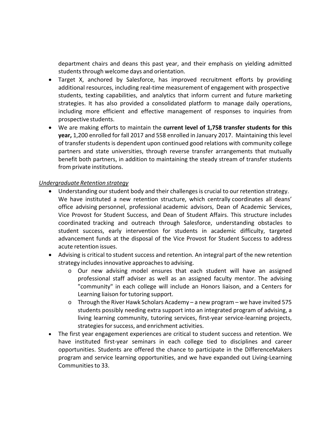department chairs and deans this past year, and their emphasis on yielding admitted students through welcome days and orientation.

- Target X, anchored by Salesforce, has improved recruitment efforts by providing additional resources, including real-time measurement of engagement with prospective students, texting capabilities, and analytics that inform current and future marketing strategies. It has also provided a consolidated platform to manage daily operations, including more efficient and effective management of responses to inquiries from prospective students.
- We are making efforts to maintain the **current level of 1,758 transfer students for this year,** 1,200 enrolled for fall 2017 and 558 enrolled in January 2017. Maintaining this level of transfer students is dependent upon continued good relations with community college partners and state universities, through reverse transfer arrangements that mutually benefit both partners, in addition to maintaining the steady stream of transfer students from private institutions.

## *Undergraduate Retention strategy*

- Understanding our student body and their challenges is crucial to our retention strategy. We have instituted a new retention structure, which centrally coordinates all deans' office advising personnel, professional academic advisors, Dean of Academic Services, Vice Provost for Student Success, and Dean of Student Affairs. This structure includes coordinated tracking and outreach through Salesforce, understanding obstacles to student success, early intervention for students in academic difficulty, targeted advancement funds at the disposal of the Vice Provost for Student Success to address acute retention issues.
- Advising is critical to student success and retention. An integral part of the new retention strategy includes innovative approaches to advising.
	- o Our new advising model ensures that each student will have an assigned professional staff adviser as well as an assigned faculty mentor. The advising "community" in each college will include an Honors liaison, and a Centers for Learning liaison for tutoring support.
	- $\circ$  Through the River Hawk Scholars Academy a new program we have invited 575 students possibly needing extra support into an integrated program of advising, a living learning community, tutoring services, first‐year service‐learning projects, strategies for success, and enrichment activities.
- The first year engagement experiences are critical to student success and retention. We have instituted first-year seminars in each college tied to disciplines and career opportunities. Students are offered the chance to participate in the DifferenceMakers program and service learning opportunities, and we have expanded out Living‐Learning Communities to 33.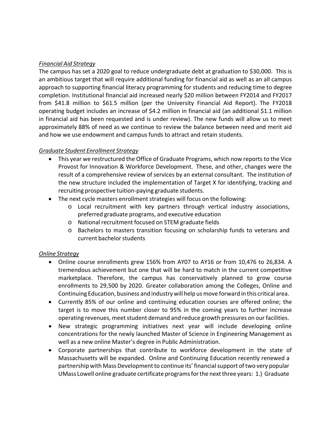## *Financial Aid Strategy*

The campus has set a 2020 goal to reduce undergraduate debt at graduation to \$30,000. This is an ambitious target that will require additional funding for financial aid as well as an all campus approach to supporting financial literacy programming for students and reducing time to degree completion. Institutional financial aid increased nearly \$20 million between FY2014 and FY2017 from \$41.8 million to \$61.5 million (per the University Financial Aid Report). The FY2018 operating budget includes an increase of \$4.2 million in financial aid (an additional \$1.1 million in financial aid has been requested and is under review). The new funds will allow us to meet approximately 88% of need as we continue to review the balance between need and merit aid and how we use endowment and campus funds to attract and retain students.

## *Graduate Student Enrollment Strategy*

- This year we restructured the Office of Graduate Programs, which now reports to the Vice Provost for Innovation & Workforce Development. These, and other, changes were the result of a comprehensive review of services by an external consultant. The institution of the new structure included the implementation of Target X for identifying, tracking and recruiting prospective tuition‐paying graduate students.
- The next cycle masters enrollment strategies will focus on the following:
	- o Local recruitment with key partners through vertical industry associations, preferred graduate programs, and executive education
	- o National recruitment focused on STEM graduate fields
	- o Bachelors to masters transition focusing on scholarship funds to veterans and current bachelor students

## *Online Strategy*

- Online course enrollments grew 156% from AY07 to AY16 or from 10,476 to 26,834. A tremendous achievement but one that will be hard to match in the current competitive marketplace. Therefore, the campus has conservatively planned to grow course enrollments to 29,500 by 2020. Greater collaboration among the Colleges, Online and Continuing Education, business and industry will help us move forward in this critical area.
- Currently 85% of our online and continuing education courses are offered online; the target is to move this number closer to 95% in the coming years to further increase operating revenues, meet student demand and reduce growth pressures on our facilities.
- New strategic programming initiatives next year will include developing online concentrations for the newly launched Master of Science in Engineering Management as well as a new online Master's degree in Public Administration.
- Corporate partnerships that contribute to workforce development in the state of Massachusetts will be expanded. Online and Continuing Education recently renewed a partnership with Mass Development to continue its' financial support of two very popular UMass Lowell online graduate certificate programs for the next three years: 1.) Graduate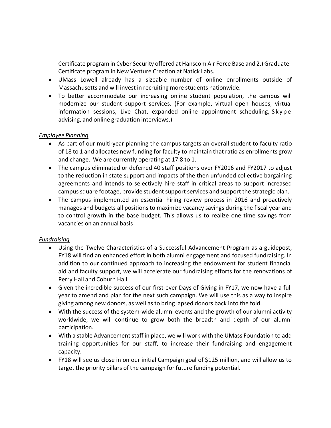Certificate program in Cyber Security offered at Hanscom Air Force Base and 2.) Graduate Certificate program in New Venture Creation at Natick Labs.

- UMass Lowell already has a sizeable number of online enrollments outside of Massachusetts and will invest in recruiting more students nationwide.
- To better accommodate our increasing online student population, the campus will modernize our student support services. (For example, virtual open houses, virtual information sessions, Live Chat, expanded online appointment scheduling, Skype advising, and online graduation interviews.)

## *Employee Planning*

- As part of our multi-year planning the campus targets an overall student to faculty ratio of 18 to 1 and allocates new funding for faculty to maintain that ratio as enrollments grow and change. We are currently operating at 17.8 to 1.
- The campus eliminated or deferred 40 staff positions over FY2016 and FY2017 to adjust to the reduction in state support and impacts of the then unfunded collective bargaining agreements and intends to selectively hire staff in critical areas to support increased campus square footage, provide student support services and support the strategic plan.
- The campus implemented an essential hiring review process in 2016 and proactively manages and budgets all positions to maximize vacancy savings during the fiscal year and to control growth in the base budget. This allows us to realize one time savings from vacancies on an annual basis

## *Fundraising*

- Using the Twelve Characteristics of a Successful Advancement Program as a guidepost, FY18 will find an enhanced effort in both alumni engagement and focused fundraising. In addition to our continued approach to increasing the endowment for student financial aid and faculty support, we will accelerate our fundraising efforts for the renovations of Perry Hall and Coburn Hall.
- Given the incredible success of our first‐ever Days of Giving in FY17, we now have a full year to amend and plan for the next such campaign. We will use this as a way to inspire giving among new donors, as well as to bring lapsed donors back into the fold.
- With the success of the system-wide alumni events and the growth of our alumni activity worldwide, we will continue to grow both the breadth and depth of our alumni participation.
- With a stable Advancement staff in place, we will work with the UMass Foundation to add training opportunities for our staff, to increase their fundraising and engagement capacity.
- FY18 will see us close in on our initial Campaign goal of \$125 million, and will allow us to target the priority pillars of the campaign for future funding potential.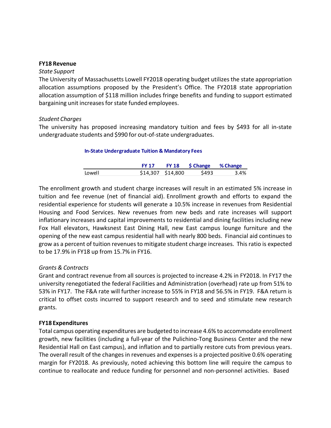#### **FY18 Revenue**

#### *State Support*

The University of Massachusetts Lowell FY2018 operating budget utilizes the state appropriation allocation assumptions proposed by the President's Office. The FY2018 state appropriation allocation assumption of \$118 million includes fringe benefits and funding to support estimated bargaining unit increases for state funded employees.

## *Student Charges*

The university has proposed increasing mandatory tuition and fees by \$493 for all in-state undergraduate students and \$990 for out‐of‐state undergraduates.

#### **In‐State Undergraduate Tuition & Mandatory Fees**

|        | <b>FY 17</b> |                   | FY 18 \$ Change % Change |      |
|--------|--------------|-------------------|--------------------------|------|
| Lowell |              | \$14,307 \$14,800 | \$493                    | 3.4% |

The enrollment growth and student charge increases will result in an estimated 5% increase in tuition and fee revenue (net of financial aid). Enrollment growth and efforts to expand the residential experience for students will generate a 10.5% increase in revenues from Residential Housing and Food Services. New revenues from new beds and rate increases will support inflationary increases and capital improvements to residential and dining facilities including new Fox Hall elevators, Hawksnest East Dining Hall, new East campus lounge furniture and the opening of the new east campus residential hall with nearly 800 beds. Financial aid continues to grow as a percent of tuition revenues to mitigate student charge increases. This ratio is expected to be 17.9% in FY18 up from 15.7% in FY16.

## *Grants & Contracts*

Grant and contract revenue from all sources is projected to increase 4.2% in FY2018. In FY17 the university renegotiated the federal Facilities and Administration (overhead) rate up from 51% to 53% in FY17. The F&A rate will further increase to 55% in FY18 and 56.5% in FY19. F&A return is critical to offset costs incurred to support research and to seed and stimulate new research grants.

## **FY18 Expenditures**

Total campus operating expenditures are budgeted to increase 4.6% to accommodate enrollment growth, new facilities (including a full‐year of the Pulichino‐Tong Business Center and the new Residential Hall on East campus), and inflation and to partially restore cuts from previous years. The overall result of the changes in revenues and expenses is a projected positive 0.6% operating margin for FY2018. As previously, noted achieving this bottom line will require the campus to continue to reallocate and reduce funding for personnel and non‐personnel activities. Based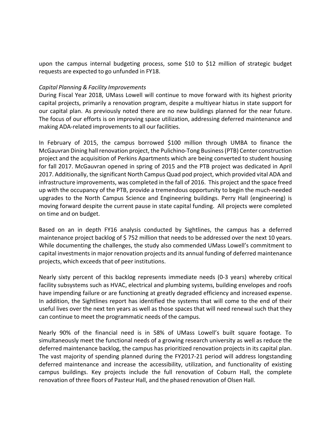upon the campus internal budgeting process, some \$10 to \$12 million of strategic budget requests are expected to go unfunded in FY18.

## *Capital Planning & Facility Improvements*

During Fiscal Year 2018, UMass Lowell will continue to move forward with its highest priority capital projects, primarily a renovation program, despite a multiyear hiatus in state support for our capital plan. As previously noted there are no new buildings planned for the near future. The focus of our efforts is on improving space utilization, addressing deferred maintenance and making ADA‐related improvements to all our facilities.

In February of 2015, the campus borrowed \$100 million through UMBA to finance the McGauvran Dining hall renovation project, the Pulichino‐Tong Business (PTB) Center construction project and the acquisition of Perkins Apartments which are being converted to student housing for fall 2017. McGauvran opened in spring of 2015 and the PTB project was dedicated in April 2017. Additionally, the significant North Campus Quad pod project, which provided vital ADA and infrastructure improvements, was completed in the fall of 2016. This project and the space freed up with the occupancy of the PTB, provide a tremendous opportunity to begin the much‐needed upgrades to the North Campus Science and Engineering buildings. Perry Hall (engineering) is moving forward despite the current pause in state capital funding. All projects were completed on time and on budget.

Based on an in depth FY16 analysis conducted by Sightlines, the campus has a deferred maintenance project backlog of \$ 752 million that needs to be addressed over the next 10 years. While documenting the challenges, the study also commended UMass Lowell's commitment to capital investments in major renovation projects and its annual funding of deferred maintenance projects, which exceeds that of peer institutions.

Nearly sixty percent of this backlog represents immediate needs (0-3 years) whereby critical facility subsystems such as HVAC, electrical and plumbing systems, building envelopes and roofs have impending failure or are functioning at greatly degraded efficiency and increased expense. In addition, the Sightlines report has identified the systems that will come to the end of their useful lives over the next ten years as well as those spaces that will need renewal such that they can continue to meet the programmatic needs of the campus.

Nearly 90% of the financial need is in 58% of UMass Lowell's built square footage. To simultaneously meet the functional needs of a growing research university as well as reduce the deferred maintenance backlog, the campus has prioritized renovation projects in its capital plan. The vast majority of spending planned during the FY2017‐21 period will address longstanding deferred maintenance and increase the accessibility, utilization, and functionality of existing campus buildings. Key projects include the full renovation of Coburn Hall, the complete renovation of three floors of Pasteur Hall, and the phased renovation of Olsen Hall.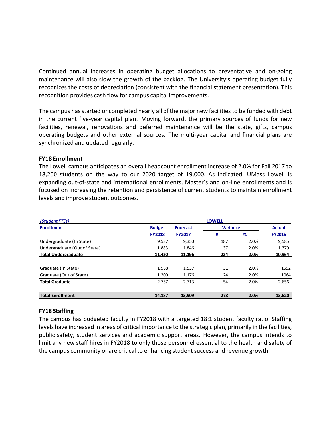Continued annual increases in operating budget allocations to preventative and on‐going maintenance will also slow the growth of the backlog. The University's operating budget fully recognizes the costs of depreciation (consistent with the financial statement presentation). This recognition provides cash flow for campus capital improvements.

The campus has started or completed nearly all of the major new facilities to be funded with debt in the current five-year capital plan. Moving forward, the primary sources of funds for new facilities, renewal, renovations and deferred maintenance will be the state, gifts, campus operating budgets and other external sources. The multi‐year capital and financial plans are synchronized and updated regularly.

## **FY18 Enrollment**

The Lowell campus anticipates an overall headcount enrollment increase of 2.0% for Fall 2017 to 18,200 students on the way to our 2020 target of 19,000. As indicated, UMass Lowell is expanding out‐of‐state and international enrollments, Master's and on‐line enrollments and is focused on increasing the retention and persistence of current students to maintain enrollment levels and improve student outcomes.

| (Student FTEs)               | <b>LOWELL</b> |                 |                 |      |               |  |  |  |  |
|------------------------------|---------------|-----------------|-----------------|------|---------------|--|--|--|--|
| <b>Enrollment</b>            | <b>Budget</b> | <b>Forecast</b> | <b>Variance</b> |      | <b>Actual</b> |  |  |  |  |
|                              | <b>FY2018</b> | <b>FY2017</b>   | #               | %    | <b>FY2016</b> |  |  |  |  |
| Undergraduate (In State)     | 9,537         | 9,350           | 187             | 2.0% | 9,585         |  |  |  |  |
| Undergraduate (Out of State) | 1.883         | 1,846           | 37              | 2.0% | 1,379         |  |  |  |  |
| <b>Total Undergraduate</b>   | 11,420        | 11,196          | 224             | 2.0% | 10,964        |  |  |  |  |
|                              |               |                 |                 |      |               |  |  |  |  |
| Graduate (In State)          | 1,568         | 1,537           | 31              | 2.0% | 1592          |  |  |  |  |
| Graduate (Out of State)      | 1,200         | 1,176           | 24              | 2.0% | 1064          |  |  |  |  |
| <b>Total Graduate</b>        | 2,767         | 2,713           | 54              | 2.0% | 2,656         |  |  |  |  |
| <b>Total Enrollment</b>      | 14.187        | 13.909          | 278             | 2.0% | 13.620        |  |  |  |  |

## **FY18 Staffing**

The campus has budgeted faculty in FY2018 with a targeted 18:1 student faculty ratio. Staffing levels have increased in areas of critical importance to the strategic plan, primarily in the facilities, public safety, student services and academic support areas. However, the campus intends to limit any new staff hires in FY2018 to only those personnel essential to the health and safety of the campus community or are critical to enhancing student success and revenue growth.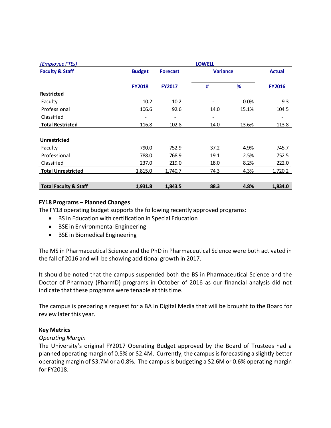| (Employee FTEs)                  |               | <b>LOWELL</b>   |      |                 |               |  |  |  |  |  |
|----------------------------------|---------------|-----------------|------|-----------------|---------------|--|--|--|--|--|
| <b>Faculty &amp; Staff</b>       | <b>Budget</b> | <b>Forecast</b> |      | <b>Variance</b> |               |  |  |  |  |  |
|                                  | <b>FY2018</b> | <b>FY2017</b>   | #    | %               | <b>FY2016</b> |  |  |  |  |  |
| <b>Restricted</b>                |               |                 |      |                 |               |  |  |  |  |  |
| Faculty                          | 10.2          | 10.2            |      | 0.0%            | 9.3           |  |  |  |  |  |
| Professional                     | 106.6         | 92.6            | 14.0 | 15.1%           | 104.5         |  |  |  |  |  |
| Classified                       |               | -               |      |                 |               |  |  |  |  |  |
| <b>Total Restricted</b>          | 116.8         | 102.8           | 14.0 | 13.6%           | 113.8         |  |  |  |  |  |
|                                  |               |                 |      |                 |               |  |  |  |  |  |
| <b>Unrestricted</b>              |               |                 |      |                 |               |  |  |  |  |  |
| Faculty                          | 790.0         | 752.9           | 37.2 | 4.9%            | 745.7         |  |  |  |  |  |
| Professional                     | 788.0         | 768.9           | 19.1 | 2.5%            | 752.5         |  |  |  |  |  |
| Classified                       | 237.0         | 219.0           | 18.0 | 8.2%            | 222.0         |  |  |  |  |  |
| <b>Total Unrestricted</b>        | 1,815.0       | 1,740.7         | 74.3 | 4.3%            | 1,720.2       |  |  |  |  |  |
|                                  |               |                 |      |                 |               |  |  |  |  |  |
| <b>Total Faculty &amp; Staff</b> | 1,931.8       | 1,843.5         | 88.3 | 4.8%            | 1,834.0       |  |  |  |  |  |

## **FY18 Programs – Planned Changes**

The FY18 operating budget supports the following recently approved programs:

- BS in Education with certification in Special Education
- BSE in Environmental Engineering
- BSE in Biomedical Engineering

The MS in Pharmaceutical Science and the PhD in Pharmaceutical Science were both activated in the fall of 2016 and will be showing additional growth in 2017.

It should be noted that the campus suspended both the BS in Pharmaceutical Science and the Doctor of Pharmacy (PharmD) programs in October of 2016 as our financial analysis did not indicate that these programs were tenable at this time.

The campus is preparing a request for a BA in Digital Media that will be brought to the Board for review later this year.

## **Key Metrics**

#### *Operating Margin*

The University's original FY2017 Operating Budget approved by the Board of Trustees had a planned operating margin of 0.5% or \$2.4M. Currently, the campusis forecasting a slightly better operating margin of \$3.7M or a 0.8%. The campus is budgeting a \$2.6M or 0.6% operating margin for FY2018.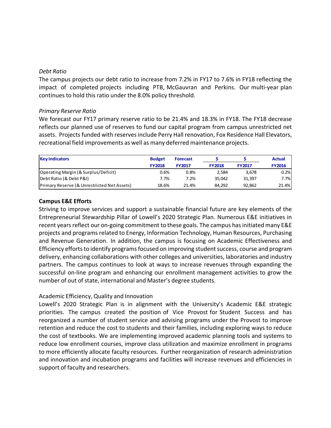#### *Debt Ratio*

The campus projects our debt ratio to increase from 7.2% in FY17 to 7.6% in FY18 reflecting the impact of completed projects including PTB, McGauvran and Perkins. Our multi-year plan continues to hold this ratio under the 8.0% policy threshold.

#### *Primary Reserve Ratio*

We forecast our FY17 primary reserve ratio to be 21.4% and 18.3% in FY18. The FY18 decrease reflects our planned use of reserves to fund our capital program from campus unrestricted net assets. Projects funded with reserves include Perry Hall renovation, Fox Residence Hall Elevators, recreational field improvements as well as many deferred maintenance projects.

| <b>Key Indicators</b>                                  | <b>Budget</b> | <b>Forecast</b> |               |               | <b>Actual</b> |
|--------------------------------------------------------|---------------|-----------------|---------------|---------------|---------------|
|                                                        | <b>FY2018</b> | <b>FY2017</b>   | <b>FY2018</b> | <b>FY2017</b> | <b>FY2016</b> |
| Operating Margin (& Surplus/Deficit)                   | 0.6%          | 0.8%            | 2.584         | 3,678         | 0.2%          |
| Debt Ratio (& Debt P&I)                                | 7.7%          | 7.2%            | 35.042        | 31.397        | 7.7%          |
| <b>Primary Reserve (&amp; Unrestricted Net Assets)</b> | 18.6%         | 21.4%           | 84.292        | 92.862        | 21.4%         |

#### **Campus E&E Efforts**

Striving to improve services and support a sustainable financial future are key elements of the Entrepreneurial Stewardship Pillar of Lowell's 2020 Strategic Plan. Numerous E&E initiatives in recent years reflect our on‐going commitment to these goals. The campus has initiated many E&E projects and programs related to Energy, Information Technology, Human Resources, Purchasing and Revenue Generation. In addition, the campus is focusing on Academic Effectiveness and Efficiency efforts to identify programs focused on improving student success, course and program delivery, enhancing collaborations with other colleges and universities, laboratories and industry partners. The campus continues to look at ways to increase revenues through expanding the successful on‐line program and enhancing our enrollment management activities to grow the number of out of state, international and Master's degree students.

## Academic Efficiency, Quality and Innovation

Lowell's 2020 Strategic Plan is in alignment with the University's Academic E&E strategic priorities. The campus created the position of Vice Provost for Student Success and has reorganized a number of student service and advising programs under the Provost to improve retention and reduce the cost to students and their families, including exploring ways to reduce the cost of textbooks. We are implementing improved academic planning tools and systems to reduce low enrollment courses, improve class utilization and maximize enrollment in programs to more efficiently allocate faculty resources. Further reorganization of research administration and innovation and incubation programs and facilities will increase revenues and efficiencies in support of faculty and researchers.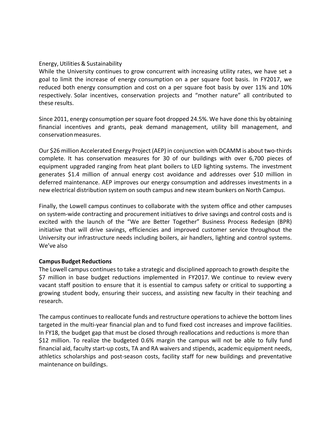## Energy, Utilities & Sustainability

While the University continues to grow concurrent with increasing utility rates, we have set a goal to limit the increase of energy consumption on a per square foot basis. In FY2017, we reduced both energy consumption and cost on a per square foot basis by over 11% and 10% respectively. Solar incentives, conservation projects and "mother nature" all contributed to these results.

Since 2011, energy consumption per square foot dropped 24.5%. We have done this by obtaining financial incentives and grants, peak demand management, utility bill management, and conservation measures.

Our \$26 million Accelerated Energy Project (AEP) in conjunction with DCAMM is about two‐thirds complete. It has conservation measures for 30 of our buildings with over 6,700 pieces of equipment upgraded ranging from heat plant boilers to LED lighting systems. The investment generates \$1.4 million of annual energy cost avoidance and addresses over \$10 million in deferred maintenance. AEP improves our energy consumption and addresses investments in a new electrical distribution system on south campus and new steam bunkers on North Campus.

Finally, the Lowell campus continues to collaborate with the system office and other campuses on system‐wide contracting and procurement initiatives to drive savings and control costs and is excited with the launch of the "We are Better Together" Business Process Redesign (BPR) initiative that will drive savings, efficiencies and improved customer service throughout the University our infrastructure needs including boilers, air handlers, lighting and control systems. We've also

## **Campus Budget Reductions**

The Lowell campus continues to take a strategic and disciplined approach to growth despite the \$7 million in base budget reductions implemented in FY2017. We continue to review every vacant staff position to ensure that it is essential to campus safety or critical to supporting a growing student body, ensuring their success, and assisting new faculty in their teaching and research.

The campus continues to reallocate funds and restructure operations to achieve the bottom lines targeted in the multi-year financial plan and to fund fixed cost increases and improve facilities. In FY18, the budget gap that must be closed through reallocations and reductions is more than \$12 million. To realize the budgeted 0.6% margin the campus will not be able to fully fund financial aid, faculty start‐up costs, TA and RA waivers and stipends, academic equipment needs, athletics scholarships and post‐season costs, facility staff for new buildings and preventative maintenance on buildings.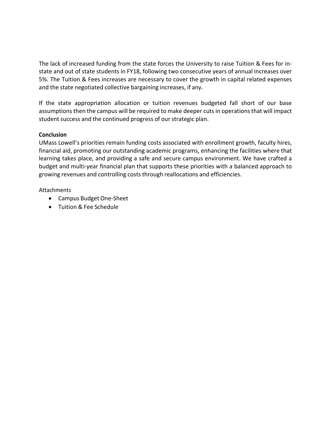The lack of increased funding from the state forces the University to raise Tuition & Fees for in‐ state and out of state students in FY18, following two consecutive years of annual increases over 5%. The Tuition & Fees increases are necessary to cover the growth in capital related expenses and the state negotiated collective bargaining increases, if any.

If the state appropriation allocation or tuition revenues budgeted fall short of our base assumptions then the campus will be required to make deeper cuts in operations that will impact student success and the continued progress of our strategic plan.

## **Conclusion**

UMass Lowell's priorities remain funding costs associated with enrollment growth, faculty hires, financial aid, promoting our outstanding academic programs, enhancing the facilities where that learning takes place, and providing a safe and secure campus environment. We have crafted a budget and multi‐year financial plan that supports these priorities with a balanced approach to growing revenues and controlling costs through reallocations and efficiencies.

## Attachments

- Campus Budget One-Sheet
- Tuition & Fee Schedule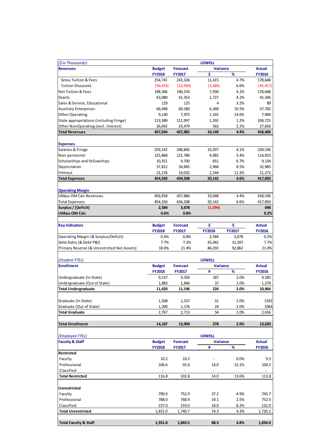| (\$ in Thousands)                           |               |                 | <b>LOWELL</b>   |        |               |
|---------------------------------------------|---------------|-----------------|-----------------|--------|---------------|
| <b>Revenues</b>                             | <b>Budget</b> | <b>Forecast</b> | <b>Variance</b> |        | <b>Actual</b> |
|                                             | <b>FY2018</b> | FY2017          | \$              | %      | <b>FY2016</b> |
| <b>Gross Tuition &amp; Fees</b>             | 254,741       | 243,326         | 11,415          | 4.7%   | 178,648       |
| <b>Tuition Discounts</b>                    | (56, 435)     | (52, 950)       | (3,485)         | 6.6%   | (45, 417)     |
| <b>Net Tuition &amp; Fees</b>               | 198,306       | 190,376         | 7,930           | 4.2%   | 178,648       |
| Grants                                      | 43,080        | 41,353          | 1,727           | 4.2%   | 41,346        |
| Sales & Service, Educational                | 129           | 125             | 4               | 3.2%   | 89            |
| <b>Auxiliary Enterprises</b>                | 66,948        | 60,580          | 6,368           | 10.5%  | 57,782        |
| <b>Other Operating</b>                      | 9,140         | 7,975           | 1,165           | 14.6%  | 7,984         |
| State appropriations (including fringe)     | 113,389       | 111,997         | 1,392           | 1.2%   | 104,725       |
| Other NonOperating (excl. interest)         | 26,042        | 25,479          | 563             | 2.2%   | 27,826        |
| <b>Total Revenues</b>                       | 457,034       | 437,885         | 19,149          | 4.4%   | 418,400       |
|                                             |               |                 |                 |        |               |
| <b>Expenses</b><br>Salaries & Fringe        | 259,142       | 248,845         | 10,297          | 4.1%   | 239,536       |
| Non-personnel                               | 125,868       | 121,786         | 4,082           | 3.4%   | 114,923       |
| Scholarships and fellowships                | 10,351        | 9,700           | 651             | 6.7%   | 9,134         |
| Depreciation                                | 37,812        | 34,845          | 2,968           | 8.5%   | 32,985        |
| Interest                                    | 21,176        | 19,032          | 2,144           | 11.3%  | 21,272        |
| <b>Total Expenses</b>                       | 454,350       | 434,208         | 20,142          | 4.6%   | 417,850       |
|                                             |               |                 |                 |        |               |
| <b>Operating Margin</b>                     |               |                 |                 |        |               |
| <b>UMass OM Calc Revenues</b>               | 456,934       | 437,886         | 19,048          | 4.4%   | 418,546       |
| <b>Total Expenses</b>                       | 454,350       | 434,208         | 20,142          | 4.6%   | 417,850       |
| Surplus / (Deficit)                         | 2,584         | 3,678           | (1,094)         |        | 696           |
| <b>UMass OM Calc</b>                        | 0.6%          | 0.8%            |                 |        | 0.2%          |
|                                             |               |                 |                 |        |               |
| <b>Key Indicators</b>                       | <b>Budget</b> | <b>Forecast</b> | \$              | \$     | <b>Actual</b> |
|                                             | <b>FY2018</b> | FY2017          | <b>FY2018</b>   | FY2017 | <b>FY2016</b> |
| Operating Margin (& Surplus/Deficit)        | 0.6%          | 0.8%            | 2,584           | 3,678  | 0.2%          |
| Debt Ratio (& Debt P&I)                     | 7.7%          | 7.2%            | 35,042          | 31,397 | 7.7%          |
| Primary Reserve (& Unrestricted Net Assets) | 18.6%         | 21.4%           | 84,292          | 92,862 | 21.4%         |
| (Student FTEs)                              |               |                 | <b>LOWELL</b>   |        |               |
| <b>Enrollment</b>                           | <b>Budget</b> | <b>Forecast</b> | <b>Variance</b> |        | Actual        |
|                                             | <b>FY2018</b> | FY2017          | #               | %      | <b>FY2016</b> |
| Undergraduate (In State)                    | 9,537         | 9,350           | 187             | 2.0%   | 9,585         |
| Undergraduate (Out of State)                | 1,883         | 1,846           | 37              | 2.0%   | 1,379         |
| <b>Total Undergraduate</b>                  | 11,420        | 11,196          | 224             | 2.0%   | 10,964        |
|                                             |               |                 |                 |        |               |
| Graduate (In State)                         | 1,568         | 1,537           | 31              | 2.0%   | 1592          |
| Graduate (Out of State)                     | 1,200         | 1,176           | 24              | 2.0%   | 1064          |
| <b>Total Graduate</b>                       | 2,767         | 2,713           | 54              | 2.0%   | 2,656         |
|                                             |               |                 |                 |        |               |
| <b>Total Enrollment</b>                     | 14,187        | 13,909          | 278             | 2.0%   | 13,620        |
| (Employee FTEs)                             |               |                 | <b>LOWELL</b>   |        |               |
| <b>Faculty &amp; Staff</b>                  | <b>Budget</b> | <b>Forecast</b> | <b>Variance</b> |        | <b>Actual</b> |
|                                             | <b>FY2018</b> | FY2017          | #               | %      | FY2016        |
| Restricted                                  |               |                 |                 |        |               |
| Faculty                                     | 10.2          | 10.2            |                 | 0.0%   | 9.3           |
| Professional                                | 106.6         | 92.6            | 14.0            | 15.1%  | 104.5         |
| Classified                                  |               |                 |                 |        |               |
| <b>Total Restricted</b>                     | 116.8         | 102.8           | 14.0            | 13.6%  | 113.8         |
|                                             |               |                 |                 |        |               |
| <b>Unrestricted</b>                         |               |                 |                 |        |               |
| Faculty                                     | 790.0         | 752.9           | 37.2            | 4.9%   | 745.7         |
| Professional                                | 788.0         | 768.9           | 19.1            | 2.5%   | 752.5         |
| Classified                                  | 237.0         | 219.0           | 18.0            | 8.2%   | 222.0         |
| <b>Total Unrestricted</b>                   | 1,815.0       | 1,740.7         | 74.3            | 4.3%   | 1,720.2       |
| <b>Total Faculty &amp; Staff</b>            | 1,931.8       | 1,843.5         | 88.3            | 4.8%   | 1,834.0       |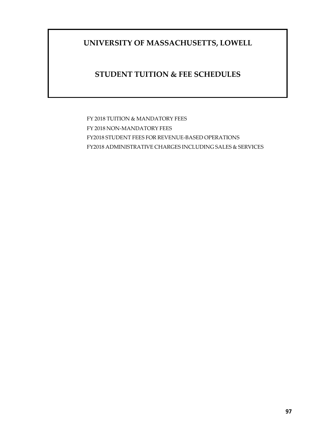## **UNIVERSITY OF MASSACHUSETTS, LOWELL**

## **STUDENT TUITION & FEE SCHEDULES**

FY 2018 TUITION & MANDATORY FEES FY 2018 NON‐MANDATORY FEES FY2018 STUDENT FEES FOR REVENUE‐BASED OPERATIONS FY2018 ADMINISTRATIVE CHARGES INCLUDING SALES & SERVICES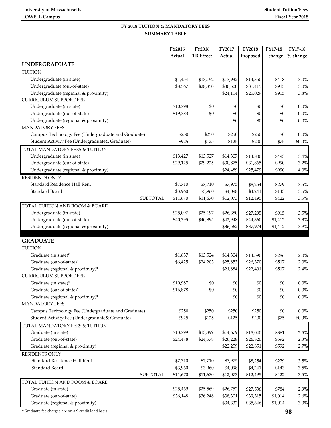## **FY 2018 TUITION & MANDATORY FEES SUMMARY TABLE**

|                                                    | FY2016   | FY2016           | FY2017   | FY2018   | FY17-18 | FY17-18    |
|----------------------------------------------------|----------|------------------|----------|----------|---------|------------|
|                                                    | Actual   | <b>TR</b> Effect | Actual   | Proposed | change  | $%$ change |
| <b>UNDERGRADUATE</b>                               |          |                  |          |          |         |            |
| <b>TUITION</b>                                     |          |                  |          |          |         |            |
| Undergraduate (in state)                           | \$1,454  | \$13,152         | \$13,932 | \$14,350 | \$418   | 3.0%       |
| Undergraduate (out-of-state)                       | \$8,567  | \$28,850         | \$30,500 | \$31,415 | \$915   | 3.0%       |
| Undergraduate (regional & proximity)               |          |                  | \$24,114 | \$25,029 | \$915   | 3.8%       |
| <b>CURRICULUM SUPPORT FEE</b>                      |          |                  |          |          |         |            |
| Undergraduate (in state)                           | \$10,798 | \$0              | \$0      | \$0      | \$0     | $0.0\%$    |
| Undergraduate (out-of-state)                       | \$19,383 | \$0              | \$0      | \$0      | \$0     | $0.0\%$    |
| Undergraduate (regional & proximity)               |          |                  | \$0      | \$0      | \$0     | 0.0%       |
| <b>MANDATORY FEES</b>                              |          |                  |          |          |         |            |
| Campus Technology Fee (Undergraduate and Graduate) | \$250    | \$250            | \$250    | \$250    | \$0     | 0.0%       |
| Student Activity Fee (Undergraduate& Graduate)     | \$925    | \$125            | \$125    | \$200    | \$75    | 60.0%      |
| TOTAL MANDATORY FEES & TUITION                     |          |                  |          |          |         |            |
| Undergraduate (in state)                           | \$13,427 | \$13,527         | \$14,307 | \$14,800 | \$493   | 3.4%       |
| Undergraduate (out-of-state)                       | \$29,125 | \$29,225         | \$30,875 | \$31,865 | \$990   | 3.2%       |
| Undergraduate (regional & proximity)               |          |                  | \$24,489 | \$25,479 | \$990   | $4.0\%$    |
| <b>RESIDENTS ONLY</b>                              |          |                  |          |          |         |            |
| Standard Residence Hall Rent                       | \$7,710  | \$7,710          | \$7,975  | \$8,254  | \$279   | 3.5%       |
| Standard Board                                     | \$3,960  | \$3,960          | \$4,098  | \$4,241  | \$143   | 3.5%       |
| <b>SUBTOTAL</b>                                    | \$11,670 | \$11,670         | \$12,073 | \$12,495 | \$422   | 3.5%       |
| TOTAL TUITION AND ROOM & BOARD                     |          |                  |          |          |         |            |
| Undergraduate (in state)                           | \$25,097 | \$25,197         | \$26,380 | \$27,295 | \$915   | 3.5%       |
| Undergraduate (out-of-state)                       | \$40,795 | \$40,895         | \$42,948 | \$44,360 | \$1,412 | 3.3%       |
| Undergraduate (regional & proximity)               |          |                  | \$36,562 | \$37,974 | \$1,412 | 3.9%       |
| <b>GRADUATE</b>                                    |          |                  |          |          |         |            |
| <b>TUITION</b>                                     |          |                  |          |          |         |            |
| Graduate (in state)*                               | \$1,637  | \$13,524         | \$14,304 | \$14,590 | \$286   | 2.0%       |
| Graduate (out-of-state)*                           | \$6,425  | \$24,203         | \$25,853 | \$26,370 | \$517   | 2.0%       |
| Graduate (regional & proximity)*                   |          |                  | \$21,884 | \$22,401 | \$517   | 2.4%       |
| <b>CURRICULUM SUPPORT FEE</b>                      |          |                  |          |          |         |            |
| Graduate (in state)*                               | \$10,987 | \$0              | \$0      | \$0      | \$0     | 0.0%       |
| Graduate (out-of-state)*                           | \$16,878 | $\$0$            | \$0      | \$0      | $\$0$   | $0.0\%$    |
| Graduate (regional & proximity)*                   |          |                  | \$0      | \$0      | \$0     | $0.0\%$    |
| <b>MANDATORY FEES</b>                              |          |                  |          |          |         |            |
| Campus Technology Fee (Undergraduate and Graduate) | \$250    | \$250            | \$250    | \$250    | $\$0$   | 0.0%       |
| Student Activity Fee (Undergraduate& Graduate)     | \$925    | \$125            | \$125    | \$200    | \$75    | $60.0\%$   |
| TOTAL MANDATORY FEES & TUITION                     |          |                  |          |          |         |            |
| Graduate (in state)                                | \$13,799 | \$13,899         | \$14,679 | \$15,040 | \$361   | 2.5%       |
| Graduate (out-of-state)                            | \$24,478 | \$24,578         | \$26,228 | \$26,820 | \$592   | 2.3%       |
| Graduate (regional & proximity)                    |          |                  | \$22,259 | \$22,851 | \$592   | 2.7%       |
| <b>RESIDENTS ONLY</b>                              |          |                  |          |          |         |            |
| Standard Residence Hall Rent                       | \$7,710  | \$7,710          | \$7,975  | \$8,254  | \$279   | 3.5%       |
| Standard Board                                     | \$3,960  | \$3,960          | \$4,098  | \$4,241  | \$143   | 3.5%       |
| <b>SUBTOTAL</b>                                    | \$11,670 | \$11,670         | \$12,073 | \$12,495 | \$422   | 3.5%       |
| TOTAL TUITION AND ROOM & BOARD                     |          |                  |          |          |         |            |
| Graduate (in state)                                | \$25,469 | \$25,569         | \$26,752 | \$27,536 | \$784   | 2.9%       |
| Graduate (out-of-state)                            | \$36,148 | \$36,248         | \$38,301 | \$39,315 | \$1,014 | 2.6%       |
| Graduate (regional & proximity)                    |          |                  | \$34,332 | \$35,346 | \$1,014 | $3.0\%$    |

 $^\ast$  Graduate fee charges are on a 9 credit load basis.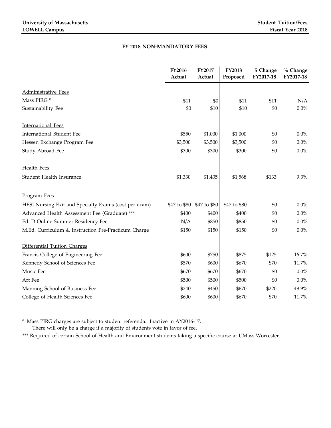#### **FY 2018 NON‐MANDATORY FEES**

|                                                       | <b>FY2016</b><br>Actual | FY2017<br>Actual | FY2018<br>Proposed | \$ Change<br>FY2017-18 | $%$ Change<br>FY2017-18 |
|-------------------------------------------------------|-------------------------|------------------|--------------------|------------------------|-------------------------|
| Administrative Fees                                   |                         |                  |                    |                        |                         |
| Mass PIRG *                                           | \$11                    | \$0              | \$11               | \$11                   | N/A                     |
| Sustainability Fee                                    | \$0                     | \$10             | \$10               | \$0                    | $0.0\%$                 |
| <b>International Fees</b>                             |                         |                  |                    |                        |                         |
| International Student Fee                             | \$550                   | \$1,000          | \$1,000            | \$0                    | $0.0\%$                 |
| Hessen Exchange Program Fee                           | \$3,500                 | \$3,500          | \$3,500            | \$0                    | $0.0\%$                 |
| Study Abroad Fee                                      | \$300                   | \$300            | \$300              | \$0                    | $0.0\%$                 |
| <b>Health Fees</b>                                    |                         |                  |                    |                        |                         |
| Student Health Insurance                              | \$1,330                 | \$1,435          | \$1,568            | \$133                  | 9.3%                    |
| Program Fees                                          |                         |                  |                    |                        |                         |
| HESI Nursing Exit and Specialty Exams (cost per exam) | \$47 to \$80            | \$47 to \$80     | \$47 to \$80       | \$0                    | $0.0\%$                 |
| Advanced Health Assessment Fee (Graduate) ***         | \$400                   | \$400            | \$400              | \$0                    | $0.0\%$                 |
| Ed. D Online Summer Residency Fee                     | N/A                     | \$850            | \$850              | \$0                    | $0.0\%$                 |
| M.Ed. Curriculum & Instruction Pre-Practicum Charge   | \$150                   | \$150            | \$150              | \$0                    | $0.0\%$                 |
| Differential Tuition Charges                          |                         |                  |                    |                        |                         |
| Francis College of Engineering Fee                    | \$600                   | \$750            | \$875              | \$125                  | 16.7%                   |
| Kennedy School of Sciences Fee                        | \$570                   | \$600            | \$670              | \$70                   | 11.7%                   |
| Music Fee                                             | \$670                   | \$670            | \$670              | \$0                    | $0.0\%$                 |
| Art Fee                                               | \$500                   | \$500            | \$500              | \$0                    | $0.0\%$                 |
| Manning School of Business Fee                        | \$240                   | \$450            | \$670              | \$220                  | 48.9%                   |
| College of Health Sciences Fee                        | \$600                   | \$600            | \$670              | \$70                   | 11.7%                   |

\* Mass PIRG charges are subject to student referenda. Inactive in AY2016‐17.

There will only be a charge if a majority of students vote in favor of fee.

\*\*\* Required of certain School of Health and Environment students taking a specific course at UMass Worcester.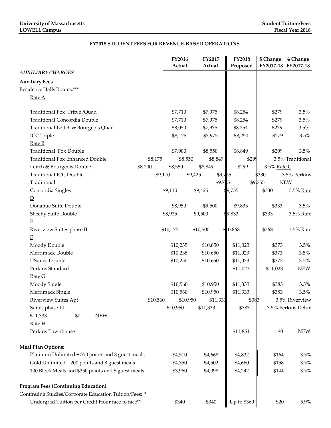#### **FY2018 STUDENT FEES FOR REVENUE‐BASED OPERATIONS**

|                                                        | FY2016<br>Actual     | FY2017<br>Actual   | FY2018<br>Proposed | \$ Change % Change<br>FY2017-18 FY2017-18 |                    |
|--------------------------------------------------------|----------------------|--------------------|--------------------|-------------------------------------------|--------------------|
| <b>AUXILIARY CHARGES</b>                               |                      |                    |                    |                                           |                    |
| <b>Auxiliary Fees</b>                                  |                      |                    |                    |                                           |                    |
| Residence Halls Rooms:***                              |                      |                    |                    |                                           |                    |
| Rate A                                                 |                      |                    |                    |                                           |                    |
| Traditional Fox Triple /Quad                           | \$7,710              | \$7,975            | \$8,254            | \$279                                     | 3.5%               |
| <b>Traditional Concordia Double</b>                    | \$7,710              | \$7,975            | \$8,254            | \$279                                     | 3.5%               |
| Traditional Leitch & Bourgeois Quad                    | \$8,050              | \$7,975            | \$8,254            | \$279                                     | 3.5%               |
| <b>ICC</b> Triple                                      | \$8,175              | \$7,975            | \$8,254            | \$279                                     | 3.5%               |
| Rate B                                                 |                      |                    |                    |                                           |                    |
| <b>Traditional Fox Double</b>                          | \$7,900              | \$8,550            | \$8,849            | \$299                                     | 3.5%               |
| <b>Traditional Fox Enhanced Double</b>                 | \$8,175<br>\$8,550   | \$8,849            | \$299              |                                           | 3.5% Traditional   |
| Leitch & Bourgeois Double<br>\$8,200                   | \$8,550              | \$8,849            | \$299              | 3.5% Rate C                               |                    |
| <b>Traditional ICC Double</b>                          | \$9,110              | \$9,425<br>\$9,755 |                    | \$330                                     | 3.5% Perkins       |
| Traditional                                            |                      | \$9,755            |                    | \$9,755                                   | <b>NEW</b>         |
| Concordia Singles                                      | \$9,110              | \$9,425            | 9,755              | \$330                                     | 3.5% Rate          |
| $\overline{D}$                                         |                      |                    |                    |                                           |                    |
| Donahue Suite Double                                   | \$8,950              | \$9,500            | \$9,833            | \$333                                     | 3.5%               |
| Sheehy Suite Double                                    | \$8,925              | \$9,500            | 39,833             | \$333                                     | 3.5% Rate          |
| E                                                      |                      |                    |                    |                                           |                    |
| Riverview Suites phase II                              | \$10,175             | \$10,500           | \$10,868           | \$368                                     | 3.5% Rate          |
| E                                                      |                      |                    |                    |                                           |                    |
| Moody Double                                           | \$10,235             | \$10,650           | \$11,023           | \$373                                     | 3.5%               |
| Merrimack Double                                       | \$10,235             | \$10,650           | \$11,023           | \$373                                     | 3.5%               |
| <b>USuites Double</b>                                  | \$10,250             | \$10,650           | \$11,023           | \$373                                     | 3.5%               |
| Perkins Standard                                       |                      |                    | \$11,023           | \$11,023                                  | <b>NEW</b>         |
| Rate G                                                 |                      |                    |                    |                                           |                    |
| Moody Single                                           | \$10,560             | \$10,950           | \$11,333           | \$383                                     | 3.5%               |
| Merrimack Single                                       | \$10,560             | \$10,950           | \$11,333           | \$383                                     | 3.5%               |
| <b>Riverview Suites Apt</b>                            | \$10,560<br>\$10,950 | \$11,333           | \$383              |                                           | 3.5% Riverview     |
| Suites phase III                                       | \$10,950             | \$11,333           | \$383              |                                           | 3.5% Perkins Delux |
| \$0<br><b>NEW</b><br>\$11,333                          |                      |                    |                    |                                           |                    |
| Rate H                                                 |                      |                    |                    |                                           |                    |
| Perkins Townhouse                                      |                      |                    | \$11,851           | $\$0$                                     | <b>NEW</b>         |
| <b>Meal Plan Options:</b>                              |                      |                    |                    |                                           |                    |
| Platinum Unlimited +350 points and 8 guest meals       | \$4,510              | \$4,668            | \$4,832            | \$164                                     | 3.5%               |
| Gold Unlimited + 200 points and 8 guest meals          | \$4,350              | \$4,502            | \$4,660            | \$158                                     | 3.5%               |
| 100 Block Meals and \$350 points and 5 guest meals     | \$3,960              | \$4,098            | \$4,242            | \$144                                     | 3.5%               |
| <b>Program Fees (Continuing Education)</b>             |                      |                    |                    |                                           |                    |
| Continuing Studies/Corporate Education Tuition/Fees: * |                      |                    |                    |                                           |                    |
| Undergrad Tuition per Credit Hour face to face**       | \$340                | \$340              | Up to \$360        | \$20                                      | 5.9%               |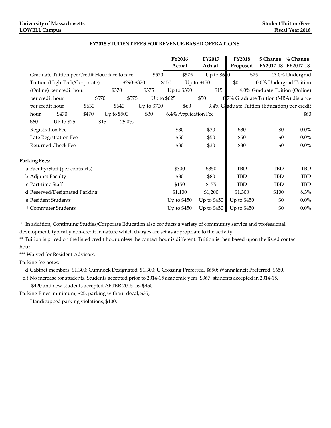|                                 |                                               |       |       |             |             |       | <b>FY2016</b><br>Actual | <b>FY2017</b><br>Actual | <b>FY2018</b><br>Proposed                    | \$ Change % Change<br>FY2017-18 FY2017-18 |                                |
|---------------------------------|-----------------------------------------------|-------|-------|-------------|-------------|-------|-------------------------|-------------------------|----------------------------------------------|-------------------------------------------|--------------------------------|
|                                 | Graduate Tuition per Credit Hour face to face |       |       |             |             | \$570 | \$575                   | Up to $$60$             | \$75                                         |                                           | 13.0% Undergrad                |
|                                 | Tuition (High Tech/Corporate)                 |       |       |             | \$290-\$370 |       | \$450                   | Up to \$450             | \$0                                          |                                           | .0% Undergrad Tuition          |
|                                 | (Online) per credit hour                      |       |       | \$370       | \$375       |       | Up to \$390             | \$15                    |                                              |                                           | 4.0% Graduate Tuition (Online) |
| per credit hour                 |                                               |       | \$570 |             | \$575       |       | Up to \$625             | \$50                    | 87% Graduate Tuition (MBA) distance          |                                           |                                |
| per credit hour                 |                                               | \$630 |       | \$640       | Up to \$700 |       | \$60                    |                         | 9.4% Graduate Tuitich (Education) per credit |                                           |                                |
| hour                            | \$470                                         | \$470 |       | Up to \$500 | \$30        |       | 6.4% Application Fee    |                         |                                              |                                           | \$60                           |
| \$60                            | <b>UP</b> to \$75                             |       | \$15  | 25.0%       |             |       |                         |                         |                                              |                                           |                                |
| <b>Registration Fee</b>         |                                               |       |       |             |             |       | \$30                    | \$30                    | \$30                                         | \$0                                       | $0.0\%$                        |
|                                 | Late Registration Fee                         |       |       |             |             |       | \$50                    | \$50                    | \$50                                         | \$0                                       | $0.0\%$                        |
| Returned Check Fee              |                                               |       |       |             |             |       | \$30                    | \$30                    | \$30                                         | \$0                                       | $0.0\%$                        |
| <b>Parking Fees:</b>            |                                               |       |       |             |             |       |                         |                         |                                              |                                           |                                |
| a Faculty/Staff (per contracts) |                                               |       |       |             |             |       | \$300                   | \$350                   | TBD                                          | <b>TBD</b>                                | TBD                            |
| <b>b</b> Adjunct Faculty        |                                               |       |       |             |             |       | \$80                    | \$80                    | TBD                                          | <b>TBD</b>                                | TBD                            |
| c Part-time Staff               |                                               |       |       |             |             |       | \$150                   | \$175                   | TBD                                          | <b>TBD</b>                                | TBD                            |
| d Reserved/Designated Parking   |                                               |       |       |             |             |       | \$1,100                 | \$1,200                 | \$1,300                                      | \$100                                     | 8.3%                           |
| e Resident Students             |                                               |       |       |             |             |       | Up to $$450$            | Up to $$450$            | Up to \$450                                  | \$0                                       | $0.0\%$                        |
| f Commuter Students             |                                               |       |       |             |             |       | Up to $$450$            | Up to $$450$            | Up to $$450$                                 | \$0                                       | $0.0\%$                        |

#### **FY2018 STUDENT FEES FOR REVENUE‐BASED OPERATIONS**

\* In addition, Continuing Studies/Corporate Education also conducts a variety of community service and professional development, typically non‐credit in nature which charges are set as appropriate to the activity.

\*\* Tuition is priced on the listed credit hour unless the contact hour is different. Tuition is then based upon the listed contact hour.

\*\*\* Waived for Resident Advisors.

Parking fee notes:

d Cabinet members, \$1,300; Cumnock Designated, \$1,300; U Crossing Preferred, \$650; Wannalancit Preferred, \$650.

e,f No increase for students. Students accepted prior to 2014‐15 academic year, \$367; students accepted in 2014‐15,

\$420 and new students accepted AFTER 2015‐16, \$450

Parking Fines: minimum, \$25; parking without decal, \$35;

Handicapped parking violations, \$100.